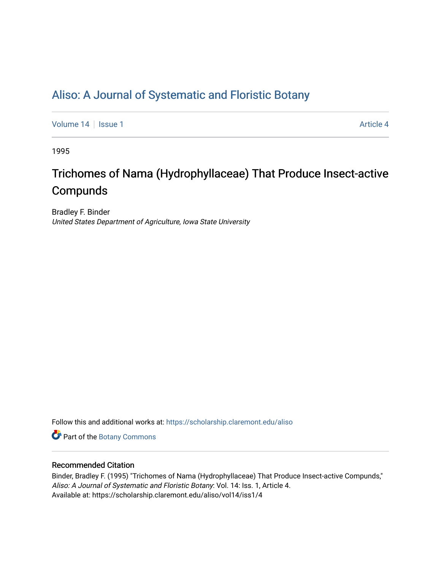# [Aliso: A Journal of Systematic and Floristic Botany](https://scholarship.claremont.edu/aliso)

[Volume 14](https://scholarship.claremont.edu/aliso/vol14) | [Issue 1](https://scholarship.claremont.edu/aliso/vol14/iss1) Article 4

1995

# Trichomes of Nama (Hydrophyllaceae) That Produce Insect-active Compunds

Bradley F. Binder United States Department of Agriculture, Iowa State University

Follow this and additional works at: [https://scholarship.claremont.edu/aliso](https://scholarship.claremont.edu/aliso?utm_source=scholarship.claremont.edu%2Faliso%2Fvol14%2Fiss1%2F4&utm_medium=PDF&utm_campaign=PDFCoverPages) 

Part of the [Botany Commons](https://network.bepress.com/hgg/discipline/104?utm_source=scholarship.claremont.edu%2Faliso%2Fvol14%2Fiss1%2F4&utm_medium=PDF&utm_campaign=PDFCoverPages) 

# Recommended Citation

Binder, Bradley F. (1995) "Trichomes of Nama (Hydrophyllaceae) That Produce Insect-active Compunds," Aliso: A Journal of Systematic and Floristic Botany: Vol. 14: Iss. 1, Article 4. Available at: https://scholarship.claremont.edu/aliso/vol14/iss1/4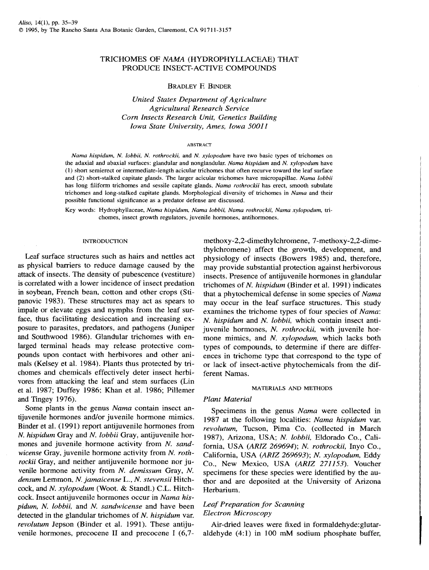# TRICHOMES OF *NAMA* (HYDROPHYLLACEAE) THAT PRODUCE INSECT-ACTIVE COMPOUNDS

# BRADLEY F. BINDER

*United States Department of Agriculture Agricultural Research Service Corn Insects Research Unit, Genetics Building Iowa State University, Ames, Iowa 500JI* 

#### ABSTRACT

*Nama hispidum. N. lobbii, N. rothrockii,* and *N. xylopodum* have two basic types of trichomes on the adaxial and abaxial surfaces: glandular and nonglandular. *Nama hispidum* and *N. xylopodum* have (1) short semierect or intermediate-length acicular trichomes that often recurve toward the leaf surface and (2) short-stalked capitate glands. The larger acicular trichomes have micropapillae. *Nama lobbii*  has long filiform trichomes and sessile capitate glands. *Nama rothrockii* has erect, smooth subulate trichomes and long-stalked capitate glands. Morphological diversity of trichomes in *Nama* and their possible functional significance as a predator defense are discussed.

Key words: Hydrophyllaceae, *Nama hispidum. Nama lobbii, Nama rothrockii, Nama xylopodum,* trichomes, insect growth regulators, juvenile hormones, antihormones.

#### **INTRODUCTION**

Leaf surface structures such as hairs and nettles act as physical barriers to reduce damage caused by the attack of insects. The density of pubescence (vestiture) is correlated with a lower incidence of insect predation in soybean, French bean, cotton and other crops (Stipanovic 1983). These structures may act as spears to impale or elevate eggs and nymphs from the leaf surface, thus facilitating desiccation and increasing exposure to parasites, predators, and pathogens (Juniper and Southwood 1986). Glandular trichomes with enlarged terminal heads may release protective compounds upon contact with herbivores and other animals (Kelsey et al. 1984). Plants thus protected by trichomes and chemicals effectively deter insect herbivores from attacking the leaf and stem surfaces (Lin et al. 1987; Duffey 1986; Khan et al. 1986; Pillemer and Tingey 1976).

Some plants in the genus *Nama* contain insect antijuvenile hormones and/or juvenile hormone mimics. Binder et al. (1991) report antijuvenile hormones from N. *hispidum* Gray and *N. lobbii* Gray, antijuvenile hormones and juvenile. hormone activity from *N. sandwicense* Gray, juvenile hormone activity from *N. rothrockii* Gray, and neither antijuvenile hormone nor juvenile hormone activity from *N. demissum* Gray, *N. densum* Lemmon, *N. jamaicense* L., *N. stevensii* Hitchcock, and *N. xylopodum* (Woot. & Standi.) C.L. Hitchcock. Insect antijuvenile hormones occur in *Nama hispidum, N. lobbii,* and *N. sandwicense* and have been detected in the glandular trichomes of *N. hispidum* var. *revolutum* Jepson (Binder et al. 1991). These antijuvenile hormones, precocene II and precocene I (6,7methoxy-2,2-dimethylchromene, 7 -methoxy-2,2-dimethylchromene) affect the growth, development, and physiology of insects (Bowers 1985) and, therefore, may provide substantial protection against herbivorous insects. Presence of antijuvenile hormones in glandular trichomes of *N. hispidum* (Binder et al. 1991) indicates that a phytochemical defense in some species of *Nama*  may occur in the leaf surface structures. This study examines the trichome types of four species of *Nama: N. hispidum and N. lobbii, which contain insect anti*juvenile hormones, *N. rothrockii,* with juvenile hormone mimics, and *N. xylopodum,* which lacks both types of compounds, to determine if there are differences in trichome type that correspond to the type of or lack of insect-active phytochemicals from the different Namas.

#### MATERIALS ANO METHODS

# *Plant Material*

Specimens in the genus *Nama* were collected in 1987 at the following localities: *Nama hispidum* var. *revolutum,* Tucson, Pima Co. (collected in March 1987), Arizona, USA; *N. lobbii,* Eldorado Co., California, USA *(ARIZ 269694); N. rothrockii,* Inyo Co., California, USA *(ARIZ 269693); N. xylopodum,* Eddy Co., New Mexico, USA *(ARIZ 27]]53).* Voucher specimens for these species were identified by the author and are deposited at the University of Arizona Herbarium.

# *Leaf Preparation for Scanning Electron Microscopy*

Air-dried leaves were fixed in formaldehyde:glutaraldehyde (4:1) in 100 mM sodium phosphate buffer,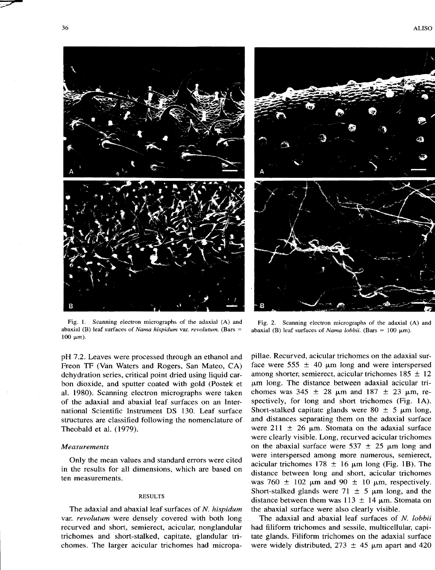



Fig. L Scanning electron micrographs of the adaxial (A) and abaxial (B) leaf surfaces of *Nama hispidum* var. *revolutum.* (Bars  $100 \text{ }\mu\text{m}$ ).

pH 7.2. Leaves were processed through an ethanol and Freon TF (Van Waters and Rogers, San Mateo, CA) dehydration series, critical point dried using liquid carbon dioxide, and sputter coated with gold (Postek et al. 1980). Scanning electron micrographs were taken of the adaxial and abaxial leaf surfaces on an International Scientific Instrument DS 130. Leaf surface structures are classified following the nomenclature of Theobald et al. (1979).

## *Measurements*

Only the mean values and standard errors were cited in the results for all dimensions, which are based on ten measurements.

## RESULTS

The adaxial and abaxial leaf surfaces of *N. hispidum*  var. *revolutum* were densely covered with both long recurved and short, semierect, acicular, nonglandular trichomes and short-stalked, capitate, glandular trichomes. The larger acicular trichomes had micropa-

Fig. 2. Scanning electron micrographs of the adaxial (A) and abaxial (B) leaf surfaces of *Nama lobbii.* (Bars =  $100 \mu m$ ).

pillae. Recurved, acicular trichomes on the adaxial surface were 555  $\pm$  40  $\mu$ m long and were interspersed among shorter, semierect, acicular trichomes  $185 \pm 12$  $µm$  long. The distance between adaxial acicular trichomes was  $345 \pm 28$  µm and  $187 \pm 23$  µm, respectively, for long and short trichomes (Fig. 1A). Short-stalked capitate glands were  $80 \pm 5$  µm long, and distances separating them on the adaxial surface were 211  $\pm$  26  $\mu$ m. Stomata on the adaxial surface were clearly visible. Long, recurved acicular trichomes on the abaxial surface were  $537 \pm 25$  µm long and were interspersed among more numerous, semierect, acicular trichomes 178  $\pm$  16  $\mu$ m long (Fig. 1B). The distance between long and short, acicular trichomes was 760  $\pm$  102  $\mu$ m and 90  $\pm$  10  $\mu$ m, respectively. Short-stalked glands were  $71 \pm 5$  µm long, and the distance between them was 113  $\pm$  14  $\mu$ m. Stomata on the abaxial surface were also clearly visible.

The adaxial and abaxial leaf surfaces of *N. lobbii*  had filiform trichomes and sessile, multicellular, capitate glands. Filiform trichomes on the adaxial surface were widely distributed,  $273 \pm 45$  µm apart and 420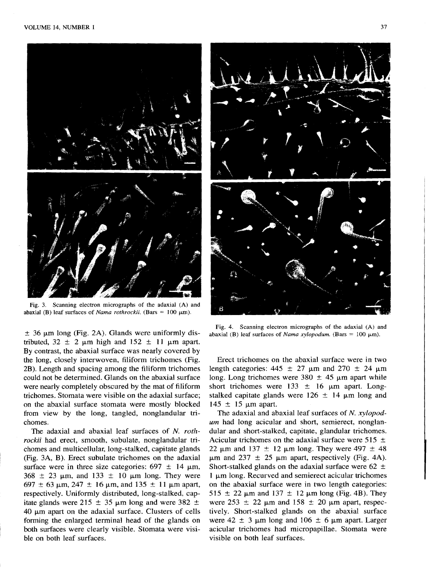

Fig. 3. Scanning electron micrographs of the adaxial (A) and abaxial (B) leaf surfaces of *Nama rothrockii*. (Bars =  $100 \mu$ m).

 $\pm$  36 µm long (Fig. 2A). Glands were uniformly distributed,  $32 \pm 2$  µm high and  $152 \pm 11$  µm apart. By contrast, the abaxial surface was nearly covered by the long, closely interwoven, filiform trichomes (Fig. 2B). Length and spacing among the filiform trichomes could not be determined. Glands on the abaxial surface were nearly completely obscured by the mat of filiform trichomes. Stomata were visible on the adaxial surface; on the abaxial surface stomata were mostly blocked from view by the long, tangled, nonglandular trichomes.

The adaxial and abaxial leaf surfaces of *N. rothrockii* had erect, smooth, subulate, nonglandular trichomes and multicellular, long-stalked, capitate glands (Fig. 3A, B). Erect subulate trichomes on the adaxial surface were in three size categories:  $697 \pm 14 \mu m$ ,  $368 \pm 23$  µm, and 133  $\pm$  10 µm long. They were 697  $\pm$  63 µm, 247  $\pm$  16 µm, and 135  $\pm$  11 µm apart, respectively. Uniformly distributed, long-stalked, capitate glands were 215  $\pm$  35  $\mu$ m long and were 382  $\pm$  $40 \mu m$  apart on the adaxial surface. Clusters of cells forming the enlarged terminal head of the glands on both surfaces were clearly visible. Stomata were visible on both leaf surfaces.



Fig. 4. Scanning electron micrographs of the adaxial (A) and abaxial (B) leaf surfaces of *Nama xylopodum*. (Bars = 100  $\mu$ m).

Erect trichomes on the abaxial surface were in two length categories:  $445 \pm 27$  µm and  $270 \pm 24$  µm long. Long trichomes were  $380 \pm 45$  µm apart while short trichomes were  $133 \pm 16$  µm apart. Longstalked capitate glands were  $126 \pm 14$  µm long and  $145 \pm 15$  µm apart.

The adaxial and abaxial leaf surfaces of *N. xylopodum* had long acicular and short, semierect, nonglandular and short-stalked, capitate, glandular trichomes. Acicular trichomes on the adaxial surface were 515  $\pm$ 22  $\mu$ m and 137  $\pm$  12  $\mu$ m long. They were 497  $\pm$  48  $\mu$ m and 237  $\pm$  25  $\mu$ m apart, respectively (Fig. 4A). Short-stalked glands on the adaxial surface were  $62 \pm$  $1 \mu$ m long. Recurved and semierect acicular trichomes on the abaxial surface were in two length categories: 515  $\pm$  22  $\mu$ m and 137  $\pm$  12  $\mu$ m long (Fig. 4B). They were  $253 \pm 22$  µm and  $158 \pm 20$  µm apart, respectively. Short-stalked glands on the abaxial surface were  $42 \pm 3$  µm long and  $106 \pm 6$  µm apart. Larger acicular trichomes had micropapillae. Stomata were visible on both leaf surfaces.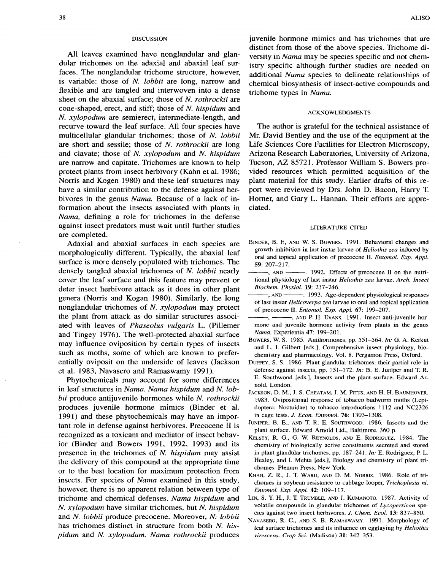#### DISCUSSION

All leaves examined have nonglandular and glandular trichomes on the adaxial and abaxial leaf surfaces. The nonglandular trichome structure, however, is variable: those of *N. lobbii* are long, narrow and flexible and are tangled and interwoven into a dense sheet on the abaxial surface; those of *N. rothrockii* are cone-shaped, erect, and stiff; those of *N. hispidum* and *N. xylopodum* are semierect, intermediate-length, and recurve toward the leaf surface. All four species have multicellular glandular trichomes; those of *N. lobbii*  are short and sessile; those of *N. rothrockii* are long and clavate; those of *N. xylopodum* and *N. hispidum*  are narrow and capitate. Trichomes are known to help protect plants from insect herbivory (Kahn et al. 1986; Norris and Kogen 1980) and these leaf structures may have a similar contribution to the defense against herbivores in the genus *Nama.* Because of a lack of information about the insects associated with plants in *Nama,* defining a role for trichomes in the defense against insect predators must wait until further studies are completed.

Adaxial and abaxial surfaces in each species are morphologically different. Typically, the abaxial leaf surface is more densely populated with trichomes. The densely tangled abaxial trichomes of *N. lobbii* nearly cover the leaf surface and this feature may prevent or deter insect herbivore attack as it does in other plant genera (Norris and Kogan 1980). Similarly, the long nonglandular trichomes of *N. xylopodum* may protect the plant from attack as do similar structures associated with leaves of *Phaseolus vulgaris* L. (Pillemer and Tingey 1976). The well-protected abaxial surface may influence oviposition by certain types of insects such as moths, some of which are known to preferentially oviposit on the underside of leaves (Jackson et al. 1983, Navasero and Ramaswamy 1991).

Phytochemicals may account for some differences in leaf structures in *Nama. Nama hispidum* and *N. lobbii* produce antijuvenile hormones while *N. rothrockii*  produces juvenile hormone mimics (Binder et al. 1991) and these phytochemicals may have an important role in defense against herbivores. Precocene II is recognized as a toxicant and mediator of insect behavior (Binder and Bowers 1991, 1992, 1993) and its presence in the trichomes of *N. hispidum* may assist the delivery of this compound at the appropriate time or to the best location for maximum protection from insects. For species of *Nama* examined in this study, however, there is no apparent relation between type of trichome and chemical defenses. *Nama hispidum* and *N. xylopodum* have similar trichomes, but *N. hispidum*  and *N. lobbii* produce precocene. Moreover, *N. lobbii*  has trichomes distinct in structure from both *N. hispidum* and *N. xylopodum. Nama rothrockii* produces

juvenile hormone mimics and has trichomes that are distinct from those of the above species. Trichome diversity in *Nama* may be species specific and not chemistry specific although further studies are needed on additional *Nama* species to delineate relationships of chemical biosynthesis of insect-active compounds and trichome types in *Nama.* 

#### ACKNOWLEDGMENTS

The author is grateful for the technical assistance of Mr. David Bentley and the use of the equipment at the Life Sciences Core Facilities for Electron Microscopy, Arizona Research Laboratories, University of Arizona, Tucson, AZ 85721. Professor William S. Bowers provided resources which permitted acquisition of the plant material for this study. Earlier drafts of this report were reviewed by Drs. John D. Bacon, Harry T. Homer, and Gary L. Hannan. Their efforts are appreciated.

### LITERATURE CITED

- BINDER, B. F., AND W. S. BOWERS. 1991. Behavioral changes and growth inhibition in last instar larvae of *Heliothis zea* induced by oral and topical application of precocene II. *Entomol. Exp. Appl.*  59: 207-217.
- -, AND --------. 1992. Effects of precocene II on the nutritional physiology of last instar *Heliothis zea* larvae. *Arch. Insect Biochem. Physiol.* 19: 237-246.
- -, AND ----------. 1993. Age-dependent physiological responses of last instar *Helicoverpa zea* larvae to oral and topical application of precocene II. *Entomol. Exp. Appl.* 67: 199-207.
- -, ----, AND P. H. EVANS. 1991. Insect anti-juvenile hormone and juvenile hormone activity from plants in the genus *Nama.* Experientia 47: 199-201.
- BOWERS, W. S. 1985. Antihormones, pp. 551-564. *In:* G. A. Kerkut and L. I. Gilbert [eds.], Comprehensive insect physiology, biochemistry and pharmacology. Vol. 8. Pergamon Press, Oxford.
- DUFFEY, S. S. 1986. Plant glandular trichomes: their partial role in defense against insects, pp. 151-172. *In:* B. E. Juniper and T. R. E. Southwood [eds.], Insects and the plant surface. Edward Arnold, London.
- JACKSON, D. M., J. S. CHEATAM, J. M. PITTS, AND H. H. BAUMHOVER. 1983. Ovipositional response of tobacco budworm moths (Lepidoptera: Noctuidae) to tobacco introductions 1112 and NC2326 in cage tests. J. *Econ. Entomol.* 76: 1303-1308.
- JUNIPER, B. E., AND T. R. E. SOUTHWOOD. 1986. Insects and the plant surface. Edward Arnold Ltd., Baltimore. 360 p.
- KELSEY, R. 0., G. W. REYNOLDS, AND E. RODRIGUEZ. 1984. The chemistry of biologically active constituents secreted and stored in plant glandular trichomes, pp. 187-241. *In:* E. Rodriguez, P. L. Healey, and I. Mehta [eds.], Biology and chemistry of plant trichomes. Plenum Press, New York.
- KHAN, Z. R., J. T. WARD, AND D. M. NORRIS. 1986. Role of trichomes in soybean resistance to cabbage looper, *Trichoplusia ni. Entomol. Exp. Appl.* 42: 109-117.
- LIN, S. Y. H., J. T. TRUMBLE, AND J. KUMANOTO. 1987. Activity of volatile compounds in glandular trichomes of *Lycopersicon* species against two insect herbivores. J. *Chern. Ecol.* 13: 837-850.
- NAVASERO, R. C., AND S. B. RAMASWAMY. 1991. Morphology of leaf surface trichomes and its influence on egglaying by *Heliothis virescens. Crop Sci.* (Madison) 31: 342-353.